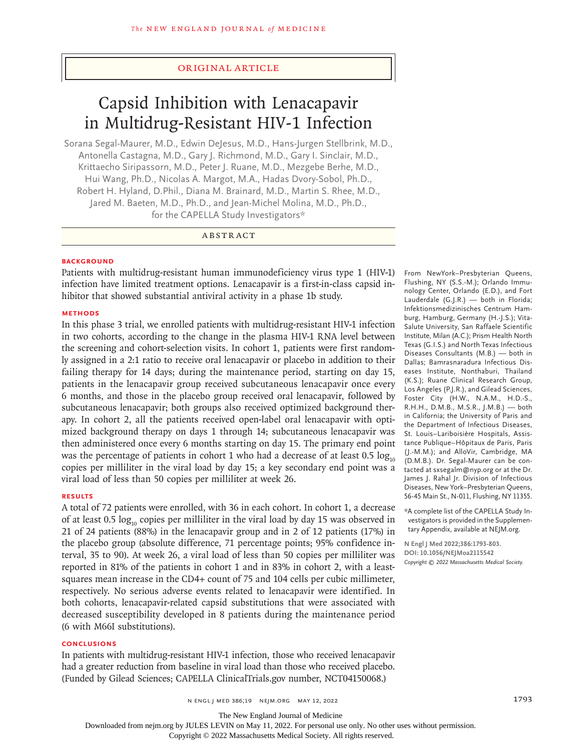## Original Article

# Capsid Inhibition with Lenacapavir in Multidrug-Resistant HIV-1 Infection

Sorana Segal-Maurer, M.D., Edwin DeJesus, M.D., Hans-Jurgen Stellbrink, M.D., Antonella Castagna, M.D., Gary J. Richmond, M.D., Gary I. Sinclair, M.D., Krittaecho Siripassorn, M.D., Peter J. Ruane, M.D., Mezgebe Berhe, M.D., Hui Wang, Ph.D., Nicolas A. Margot, M.A., Hadas Dvory-Sobol, Ph.D., Robert H. Hyland, D.Phil., Diana M. Brainard, M.D., Martin S. Rhee, M.D., Jared M. Baeten, M.D., Ph.D., and Jean-Michel Molina, M.D., Ph.D., for the CAPELLA Study Investigators\*

# ABSTRACT

## **BACKGROUND**

Patients with multidrug-resistant human immunodeficiency virus type 1 (HIV-1) infection have limited treatment options. Lenacapavir is a first-in-class capsid inhibitor that showed substantial antiviral activity in a phase 1b study.

## **METHODS**

In this phase 3 trial, we enrolled patients with multidrug-resistant HIV-1 infection in two cohorts, according to the change in the plasma HIV-1 RNA level between the screening and cohort-selection visits. In cohort 1, patients were first randomly assigned in a 2:1 ratio to receive oral lenacapavir or placebo in addition to their failing therapy for 14 days; during the maintenance period, starting on day 15, patients in the lenacapavir group received subcutaneous lenacapavir once every 6 months, and those in the placebo group received oral lenacapavir, followed by subcutaneous lenacapavir; both groups also received optimized background therapy. In cohort 2, all the patients received open-label oral lenacapavir with optimized background therapy on days 1 through 14; subcutaneous lenacapavir was then administered once every 6 months starting on day 15. The primary end point was the percentage of patients in cohort 1 who had a decrease of at least  $0.5 \log_{10}$ copies per milliliter in the viral load by day 15; a key secondary end point was a viral load of less than 50 copies per milliliter at week 26.

# **RESULTS**

A total of 72 patients were enrolled, with 36 in each cohort. In cohort 1, a decrease of at least 0.5  $log_{10}$  copies per milliliter in the viral load by day 15 was observed in 21 of 24 patients (88%) in the lenacapavir group and in 2 of 12 patients (17%) in the placebo group (absolute difference, 71 percentage points; 95% confidence interval, 35 to 90). At week 26, a viral load of less than 50 copies per milliliter was reported in 81% of the patients in cohort 1 and in 83% in cohort 2, with a leastsquares mean increase in the CD4+ count of 75 and 104 cells per cubic millimeter, respectively. No serious adverse events related to lenacapavir were identified. In both cohorts, lenacapavir-related capsid substitutions that were associated with decreased susceptibility developed in 8 patients during the maintenance period (6 with M66I substitutions).

#### **CONCLUSIONS**

In patients with multidrug-resistant HIV-1 infection, those who received lenacapavir had a greater reduction from baseline in viral load than those who received placebo. (Funded by Gilead Sciences; CAPELLA ClinicalTrials.gov number, NCT04150068.)

From NewYork–Presbyterian Queens, Flushing, NY (S.S.-M.); Orlando Immunology Center, Orlando (E.D.), and Fort Lauderdale (G.J.R.) — both in Florida; Infektionsmedizinisches Centrum Hamburg, Hamburg, Germany (H.-J.S.); Vita-Salute University, San Raffaele Scientific Institute, Milan (A.C.); Prism Health North Texas (G.I.S.) and North Texas Infectious Diseases Consultants (M.B.) — both in Dallas; Bamrasnaradura Infectious Diseases Institute, Nonthaburi, Thailand (K.S.); Ruane Clinical Research Group, Los Angeles (P.J.R.), and Gilead Sciences, Foster City (H.W., N.A.M., H.D.-S., R.H.H., D.M.B., M.S.R., J.M.B.) — both in California; the University of Paris and the Department of Infectious Diseases, St. Louis–Lariboisière Hospitals, Assistance Publique–Hôpitaux de Paris, Paris (J.-M.M.); and AlloVir, Cambridge, MA (D.M.B.). Dr. Segal-Maurer can be contacted at sxsegalm@nyp.org or at the Dr. James J. Rahal Jr. Division of Infectious Diseases, New York–Presbyterian Queens, 56-45 Main St., N-011, Flushing, NY 11355.

\*A complete list of the CAPELLA Study Investigators is provided in the Supplementary Appendix, available at NEJM.org.

**N Engl J Med 2022;386:1793-803. DOI: 10.1056/NEJMoa2115542** *Copyright © 2022 Massachusetts Medical Society.*

n engl j med 386;19 nejm.org May 12, 2022 1793

The New England Journal of Medicine

Downloaded from nejm.org by JULES LEVIN on May 11, 2022. For personal use only. No other uses without permission.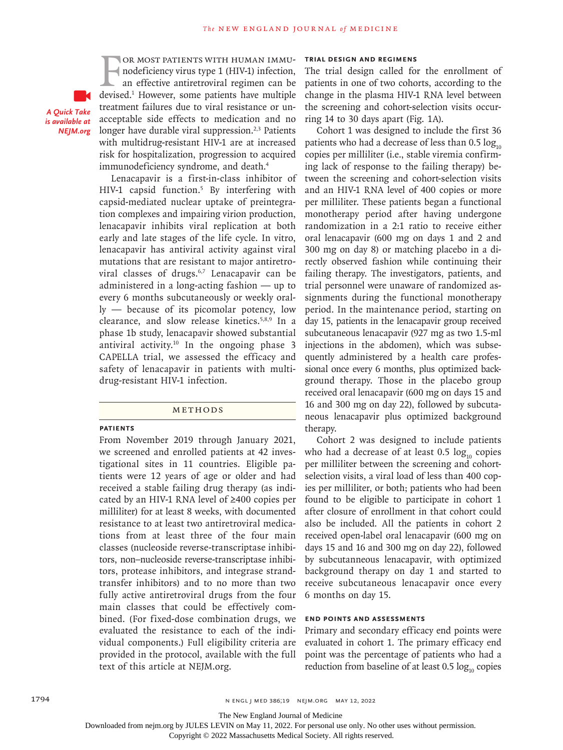OR MOST PATIENTS WITH HUMAN IMMU-<br>nodeficiency virus type 1 (HIV-1) infection,<br>an effective antiretroviral regimen can be<br>devised.<sup>1</sup> However, some patients have multiple or most patients with human immunodeficiency virus type 1 (HIV-1) infection, an effective antiretroviral regimen can be treatment failures due to viral resistance or unacceptable side effects to medication and no longer have durable viral suppression.<sup>2,3</sup> Patients with multidrug-resistant HIV-1 are at increased risk for hospitalization, progression to acquired immunodeficiency syndrome, and death.<sup>4</sup>

Lenacapavir is a first-in-class inhibitor of HIV-1 capsid function.5 By interfering with capsid-mediated nuclear uptake of preintegration complexes and impairing virion production, lenacapavir inhibits viral replication at both early and late stages of the life cycle. In vitro, lenacapavir has antiviral activity against viral mutations that are resistant to major antiretroviral classes of drugs.<sup>6,7</sup> Lenacapavir can be administered in a long-acting fashion — up to every 6 months subcutaneously or weekly orally — because of its picomolar potency, low clearance, and slow release kinetics.5,8,9 In a phase 1b study, lenacapavir showed substantial antiviral activity.10 In the ongoing phase 3 CAPELLA trial, we assessed the efficacy and safety of lenacapavir in patients with multidrug-resistant HIV-1 infection.

#### **METHODS**

#### **Patients**

*A Quick Take is available at NEJM.org*

> From November 2019 through January 2021, we screened and enrolled patients at 42 investigational sites in 11 countries. Eligible patients were 12 years of age or older and had received a stable failing drug therapy (as indicated by an HIV-1 RNA level of ≥400 copies per milliliter) for at least 8 weeks, with documented resistance to at least two antiretroviral medications from at least three of the four main classes (nucleoside reverse-transcriptase inhibitors, non–nucleoside reverse-transcriptase inhibitors, protease inhibitors, and integrase strandtransfer inhibitors) and to no more than two fully active antiretroviral drugs from the four main classes that could be effectively combined. (For fixed-dose combination drugs, we evaluated the resistance to each of the individual components.) Full eligibility criteria are provided in the protocol, available with the full text of this article at NEJM.org.

## **Trial Design and Regimens**

The trial design called for the enrollment of patients in one of two cohorts, according to the change in the plasma HIV-1 RNA level between the screening and cohort-selection visits occurring 14 to 30 days apart (Fig. 1A).

Cohort 1 was designed to include the first 36 patients who had a decrease of less than  $0.5 \log_{10}$ copies per milliliter (i.e., stable viremia confirming lack of response to the failing therapy) between the screening and cohort-selection visits and an HIV-1 RNA level of 400 copies or more per milliliter. These patients began a functional monotherapy period after having undergone randomization in a 2:1 ratio to receive either oral lenacapavir (600 mg on days 1 and 2 and 300 mg on day 8) or matching placebo in a directly observed fashion while continuing their failing therapy. The investigators, patients, and trial personnel were unaware of randomized assignments during the functional monotherapy period. In the maintenance period, starting on day 15, patients in the lenacapavir group received subcutaneous lenacapavir (927 mg as two 1.5-ml injections in the abdomen), which was subsequently administered by a health care professional once every 6 months, plus optimized background therapy. Those in the placebo group received oral lenacapavir (600 mg on days 15 and 16 and 300 mg on day 22), followed by subcutaneous lenacapavir plus optimized background therapy.

Cohort 2 was designed to include patients who had a decrease of at least  $0.5 \log_{10}$  copies per milliliter between the screening and cohortselection visits, a viral load of less than 400 copies per milliliter, or both; patients who had been found to be eligible to participate in cohort 1 after closure of enrollment in that cohort could also be included. All the patients in cohort 2 received open-label oral lenacapavir (600 mg on days 15 and 16 and 300 mg on day 22), followed by subcutanneous lenacapavir, with optimized background therapy on day 1 and started to receive subcutaneous lenacapavir once every 6 months on day 15.

## **End Points and Assessments**

Primary and secondary efficacy end points were evaluated in cohort 1. The primary efficacy end point was the percentage of patients who had a reduction from baseline of at least  $0.5 \log_{10}$  copies

The New England Journal of Medicine

Downloaded from nejm.org by JULES LEVIN on May 11, 2022. For personal use only. No other uses without permission.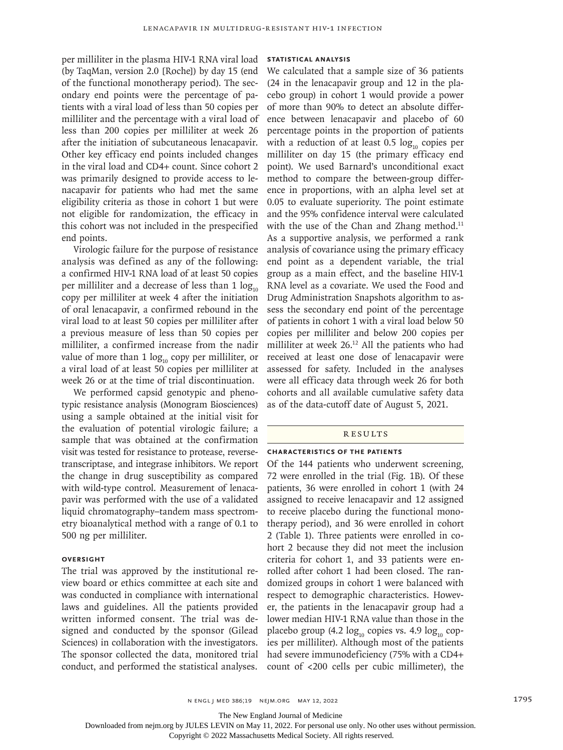per milliliter in the plasma HIV-1 RNA viral load (by TaqMan, version 2.0 [Roche]) by day 15 (end of the functional monotherapy period). The secondary end points were the percentage of patients with a viral load of less than 50 copies per milliliter and the percentage with a viral load of less than 200 copies per milliliter at week 26 after the initiation of subcutaneous lenacapavir. Other key efficacy end points included changes in the viral load and CD4+ count. Since cohort 2 was primarily designed to provide access to lenacapavir for patients who had met the same eligibility criteria as those in cohort 1 but were not eligible for randomization, the efficacy in this cohort was not included in the prespecified end points.

Virologic failure for the purpose of resistance analysis was defined as any of the following: a confirmed HIV-1 RNA load of at least 50 copies per milliliter and a decrease of less than  $1 \log_{10}$ copy per milliliter at week 4 after the initiation of oral lenacapavir, a confirmed rebound in the viral load to at least 50 copies per milliliter after a previous measure of less than 50 copies per milliliter, a confirmed increase from the nadir value of more than 1  $log_{10}$  copy per milliliter, or a viral load of at least 50 copies per milliliter at week 26 or at the time of trial discontinuation.

We performed capsid genotypic and phenotypic resistance analysis (Monogram Biosciences) using a sample obtained at the initial visit for the evaluation of potential virologic failure; a sample that was obtained at the confirmation visit was tested for resistance to protease, reversetranscriptase, and integrase inhibitors. We report the change in drug susceptibility as compared with wild-type control. Measurement of lenacapavir was performed with the use of a validated liquid chromatography–tandem mass spectrometry bioanalytical method with a range of 0.1 to 500 ng per milliliter.

#### **Oversight**

The trial was approved by the institutional review board or ethics committee at each site and was conducted in compliance with international laws and guidelines. All the patients provided written informed consent. The trial was designed and conducted by the sponsor (Gilead Sciences) in collaboration with the investigators. The sponsor collected the data, monitored trial conduct, and performed the statistical analyses.

# **Statistical Analysis**

We calculated that a sample size of 36 patients (24 in the lenacapavir group and 12 in the placebo group) in cohort 1 would provide a power of more than 90% to detect an absolute difference between lenacapavir and placebo of 60 percentage points in the proportion of patients with a reduction of at least  $0.5 \log_{10}$  copies per milliliter on day 15 (the primary efficacy end point). We used Barnard's unconditional exact method to compare the between-group difference in proportions, with an alpha level set at 0.05 to evaluate superiority. The point estimate and the 95% confidence interval were calculated with the use of the Chan and Zhang method.<sup>11</sup> As a supportive analysis, we performed a rank analysis of covariance using the primary efficacy end point as a dependent variable, the trial group as a main effect, and the baseline HIV-1 RNA level as a covariate. We used the Food and Drug Administration Snapshots algorithm to assess the secondary end point of the percentage of patients in cohort 1 with a viral load below 50 copies per milliliter and below 200 copies per milliliter at week 26.12 All the patients who had received at least one dose of lenacapavir were assessed for safety. Included in the analyses were all efficacy data through week 26 for both cohorts and all available cumulative safety data as of the data-cutoff date of August 5, 2021.

## **RESULTS**

#### **Characteristics of the Patients**

Of the 144 patients who underwent screening, 72 were enrolled in the trial (Fig. 1B). Of these patients, 36 were enrolled in cohort 1 (with 24 assigned to receive lenacapavir and 12 assigned to receive placebo during the functional monotherapy period), and 36 were enrolled in cohort 2 (Table 1). Three patients were enrolled in cohort 2 because they did not meet the inclusion criteria for cohort 1, and 33 patients were enrolled after cohort 1 had been closed. The randomized groups in cohort 1 were balanced with respect to demographic characteristics. However, the patients in the lenacapavir group had a lower median HIV-1 RNA value than those in the placebo group (4.2  $log_{10}$  copies vs. 4.9  $log_{10}$  copies per milliliter). Although most of the patients had severe immunodeficiency (75% with a CD4+ count of <200 cells per cubic millimeter), the

The New England Journal of Medicine

Downloaded from nejm.org by JULES LEVIN on May 11, 2022. For personal use only. No other uses without permission.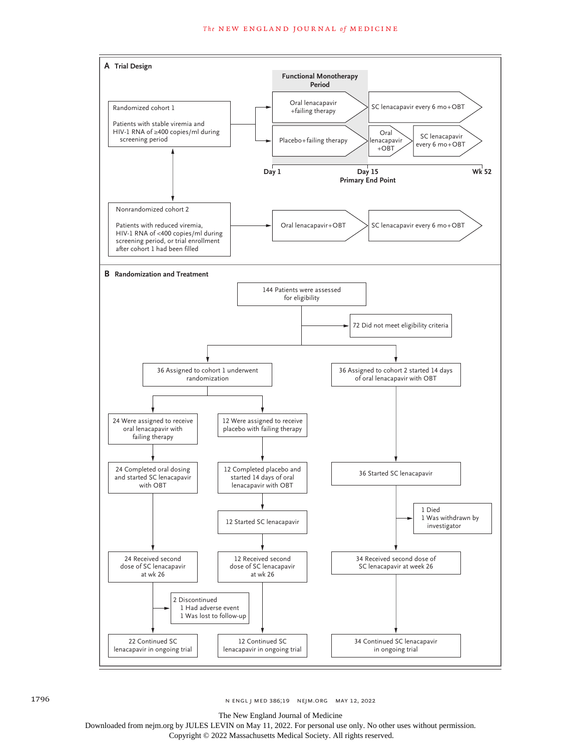

1796 **n engl j med 386;19** n engl j med 386;19 nejm.org May 12, 2022

The New England Journal of Medicine

Downloaded from nejm.org by JULES LEVIN on May 11, 2022. For personal use only. No other uses without permission.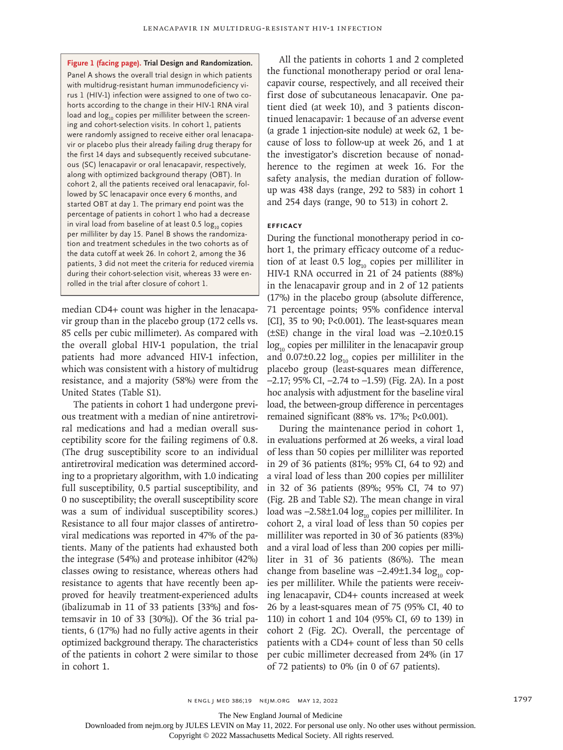**Figure 1 (facing page). Trial Design and Randomization.** Panel A shows the overall trial design in which patients with multidrug-resistant human immunodeficiency virus 1 (HIV-1) infection were assigned to one of two cohorts according to the change in their HIV-1 RNA viral load and log<sub>10</sub> copies per milliliter between the screening and cohort-selection visits. In cohort 1, patients were randomly assigned to receive either oral lenacapavir or placebo plus their already failing drug therapy for the first 14 days and subsequently received subcutaneous (SC) lenacapavir or oral lenacapavir, respectively, along with optimized background therapy (OBT). In cohort 2, all the patients received oral lenacapavir, followed by SC lenacapavir once every 6 months, and started OBT at day 1. The primary end point was the percentage of patients in cohort 1 who had a decrease in viral load from baseline of at least 0.5  $log_{10}$  copies per milliliter by day 15. Panel B shows the randomization and treatment schedules in the two cohorts as of the data cutoff at week 26. In cohort 2, among the 36 patients, 3 did not meet the criteria for reduced viremia during their cohort-selection visit, whereas 33 were enrolled in the trial after closure of cohort 1.

median CD4+ count was higher in the lenacapavir group than in the placebo group (172 cells vs. 85 cells per cubic millimeter). As compared with the overall global HIV-1 population, the trial patients had more advanced HIV-1 infection, which was consistent with a history of multidrug resistance, and a majority (58%) were from the United States (Table S1).

The patients in cohort 1 had undergone previous treatment with a median of nine antiretroviral medications and had a median overall susceptibility score for the failing regimens of 0.8. (The drug susceptibility score to an individual antiretroviral medication was determined according to a proprietary algorithm, with 1.0 indicating full susceptibility, 0.5 partial susceptibility, and 0 no susceptibility; the overall susceptibility score was a sum of individual susceptibility scores.) Resistance to all four major classes of antiretroviral medications was reported in 47% of the patients. Many of the patients had exhausted both the integrase (54%) and protease inhibitor (42%) classes owing to resistance, whereas others had resistance to agents that have recently been approved for heavily treatment-experienced adults (ibalizumab in 11 of 33 patients [33%] and fostemsavir in 10 of 33 [30%]). Of the 36 trial patients, 6 (17%) had no fully active agents in their optimized background therapy. The characteristics of the patients in cohort 2 were similar to those in cohort 1.

All the patients in cohorts 1 and 2 completed the functional monotherapy period or oral lenacapavir course, respectively, and all received their first dose of subcutaneous lenacapavir. One patient died (at week 10), and 3 patients discontinued lenacapavir: 1 because of an adverse event (a grade 1 injection-site nodule) at week 62, 1 because of loss to follow-up at week 26, and 1 at the investigator's discretion because of nonadherence to the regimen at week 16. For the safety analysis, the median duration of followup was 438 days (range, 292 to 583) in cohort 1 and 254 days (range, 90 to 513) in cohort 2.

## **Efficacy**

During the functional monotherapy period in cohort 1, the primary efficacy outcome of a reduction of at least 0.5  $log_{10}$  copies per milliliter in HIV-1 RNA occurred in 21 of 24 patients (88%) in the lenacapavir group and in 2 of 12 patients (17%) in the placebo group (absolute difference, 71 percentage points; 95% confidence interval [CI], 35 to 90; P<0.001). The least-squares mean (±SE) change in the viral load was −2.10±0.15  $log_{10}$  copies per milliliter in the lenacapavir group and  $0.07\pm0.22 \log_{10}$  copies per milliliter in the placebo group (least-squares mean difference, −2.17; 95% CI, −2.74 to −1.59) (Fig. 2A). In a post hoc analysis with adjustment for the baseline viral load, the between-group difference in percentages remained significant (88% vs. 17%; P<0.001).

During the maintenance period in cohort 1, in evaluations performed at 26 weeks, a viral load of less than 50 copies per milliliter was reported in 29 of 36 patients (81%; 95% CI, 64 to 92) and a viral load of less than 200 copies per milliliter in 32 of 36 patients (89%; 95% CI, 74 to 97) (Fig. 2B and Table S2). The mean change in viral load was −2.58±1.04 log<sub>10</sub> copies per milliliter. In cohort 2, a viral load of less than 50 copies per milliliter was reported in 30 of 36 patients (83%) and a viral load of less than 200 copies per milliliter in 31 of 36 patients (86%). The mean change from baseline was  $-2.49\pm1.34 \log_{10}$  copies per milliliter. While the patients were receiving lenacapavir, CD4+ counts increased at week 26 by a least-squares mean of 75 (95% CI, 40 to 110) in cohort 1 and 104 (95% CI, 69 to 139) in cohort 2 (Fig. 2C). Overall, the percentage of patients with a CD4+ count of less than 50 cells per cubic millimeter decreased from 24% (in 17 of 72 patients) to 0% (in 0 of 67 patients).

n engl j med 386;19 nejm.org May 12, 2022 1797

The New England Journal of Medicine

Downloaded from nejm.org by JULES LEVIN on May 11, 2022. For personal use only. No other uses without permission.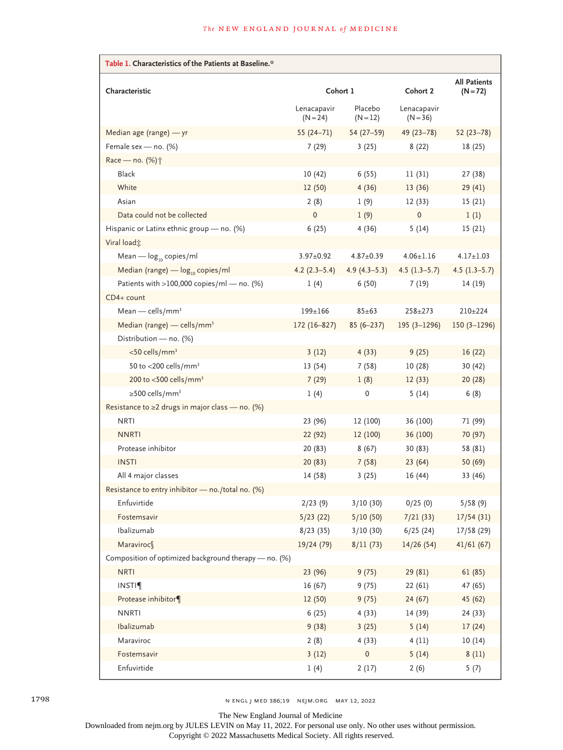| Table 1. Characteristics of the Patients at Baseline.* |                           |                       |                           |                                   |
|--------------------------------------------------------|---------------------------|-----------------------|---------------------------|-----------------------------------|
| Characteristic                                         | Cohort 1                  |                       | Cohort 2                  | <b>All Patients</b><br>$(N = 72)$ |
|                                                        | Lenacapavir<br>$(N = 24)$ | Placebo<br>$(N = 12)$ | Lenacapavir<br>$(N = 36)$ |                                   |
| Median age (range) - yr                                | $55(24-71)$               | $54(27-59)$           | $49(23 - 78)$             | $52(23-78)$                       |
| Female sex - no. (%)                                   | 7(29)                     | 3(25)                 | 8(22)                     | 18 (25)                           |
| Race - no. (%) <sup>+</sup>                            |                           |                       |                           |                                   |
| <b>Black</b>                                           | 10(42)                    | 6(55)                 | 11(31)                    | 27 (38)                           |
| White                                                  | 12(50)                    | 4(36)                 | 13(36)                    | 29(41)                            |
| Asian                                                  | 2(8)                      | 1(9)                  | 12(33)                    | 15 (21)                           |
| Data could not be collected                            | $\mathbf{0}$              | 1(9)                  | $\mathbf 0$               | 1(1)                              |
| Hispanic or Latinx ethnic group - no. (%)              | 6(25)                     | 4(36)                 | 5(14)                     | 15(21)                            |
| Viral load t                                           |                           |                       |                           |                                   |
| Mean $-\log_{10}$ copies/ml                            | $3.97 \pm 0.92$           | $4.87 \pm 0.39$       | $4.06 \pm 1.16$           | $4.17 \pm 1.03$                   |
| Median (range) $-\log_{10}$ copies/ml                  | $4.2(2.3-5.4)$            | $4.9(4.3-5.3)$        | $4.5(1.3-5.7)$            | $4.5(1.3-5.7)$                    |
| Patients with >100,000 copies/ml - no. (%)             | 1(4)                      | 6(50)                 | 7(19)                     | 14 (19)                           |
| CD4+ count                                             |                           |                       |                           |                                   |
| Mean — cells/mm <sup>3</sup>                           | 199±166                   | $85 + 63$             | $258 + 273$               | $210+224$                         |
| Median (range) - cells/mm <sup>3</sup>                 | 172 (16-827)              | $85(6 - 237)$         | $195(3 - 1296)$           | $150(3 - 1296)$                   |
| Distribution - no. (%)                                 |                           |                       |                           |                                   |
| <50 cells/mm <sup>3</sup>                              | 3(12)                     | 4(33)                 | 9(25)                     | 16(22)                            |
| 50 to <200 cells/mm <sup>3</sup>                       | 13(54)                    | 7(58)                 | 10(28)                    | 30 (42)                           |
| 200 to <500 cells/mm <sup>3</sup>                      | 7(29)                     | 1(8)                  | 12(33)                    | 20(28)                            |
| $\geq$ 500 cells/mm <sup>3</sup>                       | 1(4)                      | 0                     | 5(14)                     | 6(8)                              |
| Resistance to $\geq$ 2 drugs in major class - no. (%)  |                           |                       |                           |                                   |
| <b>NRTI</b>                                            | 23 (96)                   | 12 (100)              | 36 (100)                  | 71 (99)                           |
| <b>NNRTI</b>                                           | 22(92)                    | 12 (100)              | 36 (100)                  | 70 (97)                           |
| Protease inhibitor                                     | 20 (83)                   | 8(67)                 | 30(83)                    | 58 (81)                           |
| <b>INSTI</b>                                           | 20(83)                    | 7(58)                 | 23(64)                    | 50 (69)                           |
| All 4 major classes                                    | 14 (58)                   | 3(25)                 | 16(44)                    | 33 (46)                           |
| Resistance to entry inhibitor - no./total no. (%)      |                           |                       |                           |                                   |
| Enfuvirtide                                            | 2/23(9)                   | 3/10 (30)             | 0/25(0)                   | 5/58(9)                           |
| Fostemsavir                                            | 5/23(22)                  | 5/10(50)              | 7/21(33)                  | 17/54(31)                         |
| Ibalizumab                                             | 8/23(35)                  | 3/10(30)              | 6/25(24)                  | 17/58 (29)                        |
| Maraviroc                                              | 19/24 (79)                | 8/11(73)              | 14/26(54)                 | 41/61(67)                         |
| Composition of optimized background therapy - no. (%)  |                           |                       |                           |                                   |
| <b>NRTI</b>                                            | 23 (96)                   | 9(75)                 | 29 (81)                   | 61(85)                            |
| <b>INSTI</b>                                           | 16(67)                    | 9(75)                 | 22(61)                    | 47 (65)                           |
| Protease inhibitor¶                                    | 12(50)                    | 9(75)                 | 24(67)                    | 45 (62)                           |
| <b>NNRTI</b>                                           | 6(25)                     | 4(33)                 | 14 (39)                   | 24 (33)                           |
| Ibalizumab                                             | 9(38)                     | 3(25)                 | 5(14)                     | 17(24)                            |
| Maraviroc                                              | 2(8)                      | 4(33)                 | 4(11)                     | 10(14)                            |
| Fostemsavir                                            | 3(12)                     | $\mathsf{O}\xspace$   | 5(14)                     | 8(11)                             |
| Enfuvirtide                                            | 1(4)                      | 2(17)                 | 2(6)                      | 5(7)                              |

1798 n engl j med 386;19 nejm.org May 12, 2022

The New England Journal of Medicine

Downloaded from nejm.org by JULES LEVIN on May 11, 2022. For personal use only. No other uses without permission.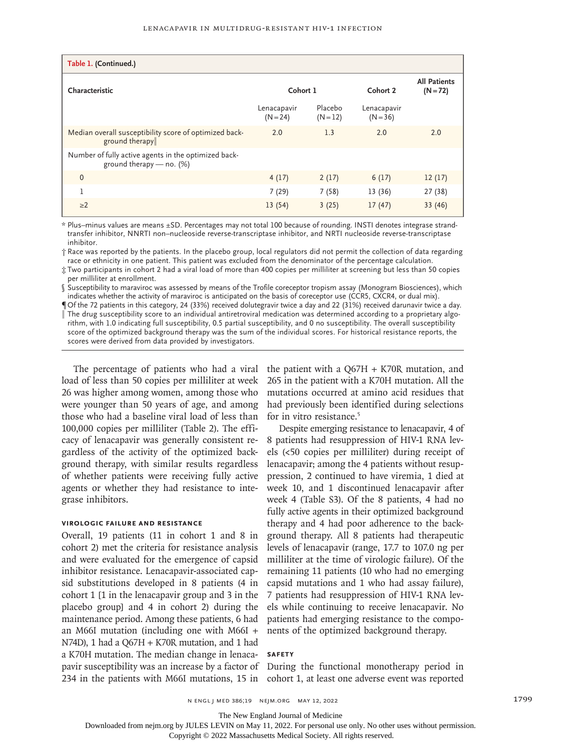| Table 1. (Continued.)                                                            |                           |                       |                           |                                   |
|----------------------------------------------------------------------------------|---------------------------|-----------------------|---------------------------|-----------------------------------|
| Characteristic                                                                   | Cohort 1                  |                       | Cohort 2                  | <b>All Patients</b><br>$(N = 72)$ |
|                                                                                  | Lenacapavir<br>$(N = 24)$ | Placebo<br>$(N = 12)$ | Lenacapavir<br>$(N = 36)$ |                                   |
| Median overall susceptibility score of optimized back-<br>ground therapy         | 2.0                       | 1.3                   | 2.0                       | 2.0                               |
| Number of fully active agents in the optimized back-<br>ground therapy - no. (%) |                           |                       |                           |                                   |
| $\mathbf{0}$                                                                     | 4(17)                     | 2(17)                 | 6(17)                     | 12(17)                            |
| 1                                                                                | 7(29)                     | 7(58)                 | 13 (36)                   | 27 (38)                           |
| $\geq$ 2                                                                         | 13(54)                    | 3(25)                 | 17(47)                    | 33 (46)                           |

\* Plus–minus values are means ±SD. Percentages may not total 100 because of rounding. INSTI denotes integrase strandtransfer inhibitor, NNRTI non–nucleoside reverse-transcriptase inhibitor, and NRTI nucleoside reverse-transcriptase inhibitor.

† Race was reported by the patients. In the placebo group, local regulators did not permit the collection of data regarding race or ethnicity in one patient. This patient was excluded from the denominator of the percentage calculation.

‡ Two participants in cohort 2 had a viral load of more than 400 copies per milliliter at screening but less than 50 copies per milliliter at enrollment.

§ Susceptibility to maraviroc was assessed by means of the Trofile coreceptor tropism assay (Monogram Biosciences), which indicates whether the activity of maraviroc is anticipated on the basis of coreceptor use (CCR5, CXCR4, or dual mix).

¶ Of the 72 patients in this category, 24 (33%) received dolutegravir twice a day and 22 (31%) received darunavir twice a day. The drug susceptibility score to an individual antiretroviral medication was determined according to a proprietary algorithm, with 1.0 indicating full susceptibility, 0.5 partial susceptibility, and 0 no susceptibility. The overall susceptibility score of the optimized background therapy was the sum of the individual scores. For historical resistance reports, the scores were derived from data provided by investigators.

load of less than 50 copies per milliliter at week 26 was higher among women, among those who were younger than 50 years of age, and among those who had a baseline viral load of less than 100,000 copies per milliliter (Table 2). The efficacy of lenacapavir was generally consistent regardless of the activity of the optimized background therapy, with similar results regardless of whether patients were receiving fully active agents or whether they had resistance to integrase inhibitors.

#### **Virologic Failure and Resistance**

Overall, 19 patients (11 in cohort 1 and 8 in cohort 2) met the criteria for resistance analysis and were evaluated for the emergence of capsid inhibitor resistance. Lenacapavir-associated capsid substitutions developed in 8 patients (4 in cohort 1 [1 in the lenacapavir group and 3 in the placebo group] and 4 in cohort 2) during the maintenance period. Among these patients, 6 had an M66I mutation (including one with M66I + N74D), 1 had a Q67H + K70R mutation, and 1 had a K70H mutation. The median change in lenacapavir susceptibility was an increase by a factor of During the functional monotherapy period in 234 in the patients with M66I mutations, 15 in cohort 1, at least one adverse event was reported

The percentage of patients who had a viral the patient with a Q67H + K70R mutation, and 265 in the patient with a K70H mutation. All the mutations occurred at amino acid residues that had previously been identified during selections for in vitro resistance.<sup>5</sup>

> Despite emerging resistance to lenacapavir, 4 of 8 patients had resuppression of HIV-1 RNA levels (<50 copies per milliliter) during receipt of lenacapavir; among the 4 patients without resuppression, 2 continued to have viremia, 1 died at week 10, and 1 discontinued lenacapavir after week 4 (Table S3). Of the 8 patients, 4 had no fully active agents in their optimized background therapy and 4 had poor adherence to the background therapy. All 8 patients had therapeutic levels of lenacapavir (range, 17.7 to 107.0 ng per milliliter at the time of virologic failure). Of the remaining 11 patients (10 who had no emerging capsid mutations and 1 who had assay failure), 7 patients had resuppression of HIV-1 RNA levels while continuing to receive lenacapavir. No patients had emerging resistance to the components of the optimized background therapy.

## **Safety**

The New England Journal of Medicine

Downloaded from nejm.org by JULES LEVIN on May 11, 2022. For personal use only. No other uses without permission.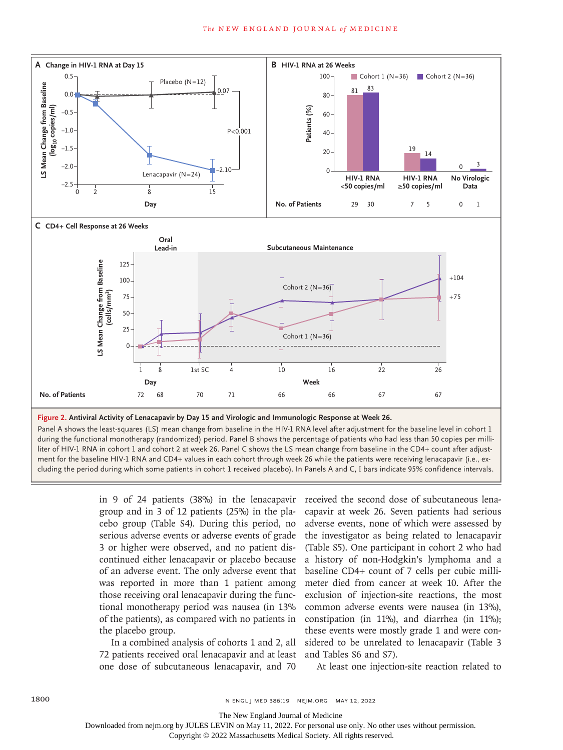

**Figure 2. Antiviral Activity of Lenacapavir by Day 15 and Virologic and Immunologic Response at Week 26.**

Panel A shows the least-squares (LS) mean change from baseline in the HIV-1 RNA level after adjustment for the baseline level in cohort 1 during the functional monotherapy (randomized) period. Panel B shows the percentage of patients who had less than 50 copies per milliliter of HIV-1 RNA in cohort 1 and cohort 2 at week 26. Panel C shows the LS mean change from baseline in the CD4+ count after adjustment for the baseline HIV-1 RNA and CD4+ values in each cohort through week 26 while the patients were receiving lenacapavir (i.e., ex-

> in 9 of 24 patients (38%) in the lenacapavir group and in 3 of 12 patients (25%) in the placebo group (Table S4). During this period, no serious adverse events or adverse events of grade 3 or higher were observed, and no patient discontinued either lenacapavir or placebo because of an adverse event. The only adverse event that was reported in more than 1 patient among those receiving oral lenacapavir during the functional monotherapy period was nausea (in 13% of the patients), as compared with no patients in the placebo group.

In a combined analysis of cohorts 1 and 2, all 72 patients received oral lenacapavir and at least one dose of subcutaneous lenacapavir, and 70

received the second dose of subcutaneous lenacapavir at week 26. Seven patients had serious adverse events, none of which were assessed by the investigator as being related to lenacapavir (Table S5). One participant in cohort 2 who had a history of non-Hodgkin's lymphoma and a baseline CD4+ count of 7 cells per cubic millimeter died from cancer at week 10. After the exclusion of injection-site reactions, the most common adverse events were nausea (in 13%), constipation (in 11%), and diarrhea (in 11%); these events were mostly grade 1 and were considered to be unrelated to lenacapavir (Table 3 and Tables S6 and S7).

At least one injection-site reaction related to

The New England Journal of Medicine

Downloaded from nejm.org by JULES LEVIN on May 11, 2022. For personal use only. No other uses without permission.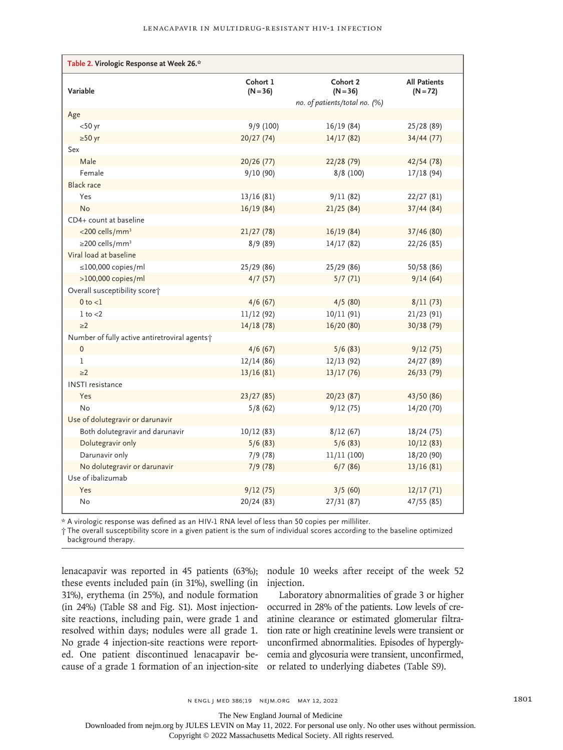| Table 2. Virologic Response at Week 26.*      |                        |                               |                                   |  |
|-----------------------------------------------|------------------------|-------------------------------|-----------------------------------|--|
| Variable                                      | Cohort 1<br>$(N = 36)$ | Cohort 2<br>$(N = 36)$        | <b>All Patients</b><br>$(N = 72)$ |  |
|                                               |                        | no. of patients/total no. (%) |                                   |  |
| Age                                           |                        |                               |                                   |  |
| $<$ 50 yr                                     | 9/9 (100)              | 16/19(84)                     | 25/28 (89)                        |  |
| $\geq 50$ yr                                  | 20/27(74)              | 14/17(82)                     | 34/44(77)                         |  |
| Sex                                           |                        |                               |                                   |  |
| Male                                          | 20/26 (77)             | 22/28 (79)                    | 42/54 (78)                        |  |
| Female                                        | 9/10(90)               | 8/8 (100)                     | 17/18(94)                         |  |
| <b>Black race</b>                             |                        |                               |                                   |  |
| Yes                                           | 13/16(81)              | 9/11(82)                      | 22/27(81)                         |  |
| <b>No</b>                                     | 16/19(84)              | 21/25(84)                     | 37/44(84)                         |  |
| CD4+ count at baseline                        |                        |                               |                                   |  |
| <200 cells/mm <sup>3</sup>                    | 21/27(78)              | 16/19(84)                     | 37/46 (80)                        |  |
| $\geq$ 200 cells/mm <sup>3</sup>              | 8/9(89)                | 14/17(82)                     | 22/26 (85)                        |  |
| Viral load at baseline                        |                        |                               |                                   |  |
| $\leq$ 100,000 copies/ml                      | 25/29 (86)             | 25/29 (86)                    | 50/58 (86)                        |  |
| >100,000 copies/ml                            | 4/7(57)                | 5/7(71)                       | 9/14(64)                          |  |
| Overall susceptibility score;                 |                        |                               |                                   |  |
| $0$ to $<$ l                                  | 4/6(67)                | 4/5(80)                       | 8/11(73)                          |  |
| $1$ to $<$ 2                                  | 11/12(92)              | 10/11(91)                     | 21/23(91)                         |  |
| $\geq$ 2                                      | 14/18(78)              | 16/20(80)                     | 30/38 (79)                        |  |
| Number of fully active antiretroviral agents; |                        |                               |                                   |  |
| 0                                             | 4/6(67)                | 5/6(83)                       | 9/12(75)                          |  |
| $\mathbf{1}$                                  | 12/14(86)              | 12/13(92)                     | 24/27 (89)                        |  |
| $\geq$ 2                                      | 13/16(81)              | 13/17(76)                     | 26/33 (79)                        |  |
| <b>INSTI</b> resistance                       |                        |                               |                                   |  |
| Yes                                           | 23/27(85)              | 20/23 (87)                    | 43/50 (86)                        |  |
| No                                            | 5/8(62)                | 9/12(75)                      | 14/20 (70)                        |  |
| Use of dolutegravir or darunavir              |                        |                               |                                   |  |
| Both dolutegravir and darunavir               | 10/12(83)              | 8/12(67)                      | 18/24(75)                         |  |
| Dolutegravir only                             | 5/6(83)                | 5/6(83)                       | 10/12(83)                         |  |
| Darunavir only                                | 7/9(78)                | 11/11 (100)                   | 18/20 (90)                        |  |
| No dolutegravir or darunavir                  | 7/9(78)                | 6/7(86)                       | 13/16(81)                         |  |
| Use of ibalizumab                             |                        |                               |                                   |  |
| Yes                                           | 9/12(75)               | 3/5(60)                       | 12/17(71)                         |  |
| No                                            | 20/24 (83)             | 27/31(87)                     | 47/55 (85)                        |  |

\* A virologic response was defined as an HIV-1 RNA level of less than 50 copies per milliliter.

† The overall susceptibility score in a given patient is the sum of individual scores according to the baseline optimized background therapy.

lenacapavir was reported in 45 patients (63%); nodule 10 weeks after receipt of the week 52 these events included pain (in 31%), swelling (in 31%), erythema (in 25%), and nodule formation (in 24%) (Table S8 and Fig. S1). Most injectionsite reactions, including pain, were grade 1 and resolved within days; nodules were all grade 1. No grade 4 injection-site reactions were reported. One patient discontinued lenacapavir because of a grade 1 formation of an injection-site

injection.

Laboratory abnormalities of grade 3 or higher occurred in 28% of the patients. Low levels of creatinine clearance or estimated glomerular filtration rate or high creatinine levels were transient or unconfirmed abnormalities. Episodes of hyperglycemia and glycosuria were transient, unconfirmed, or related to underlying diabetes (Table S9).

The New England Journal of Medicine

Downloaded from nejm.org by JULES LEVIN on May 11, 2022. For personal use only. No other uses without permission.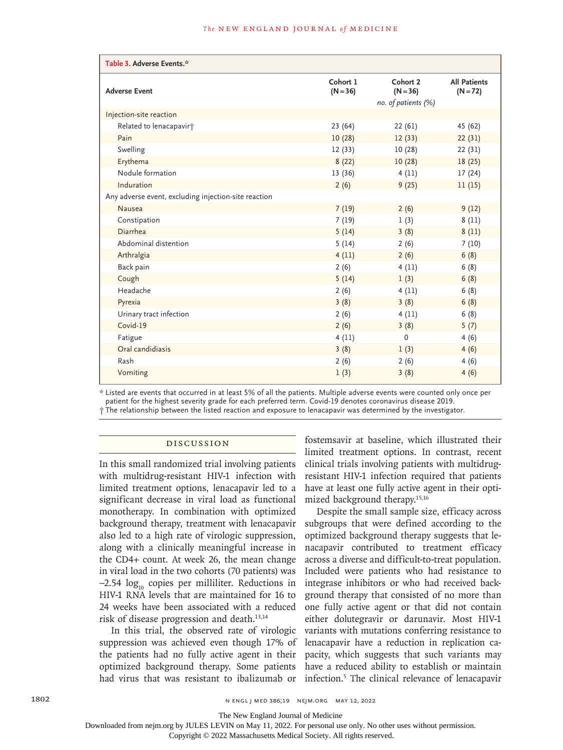| Table 3. Adverse Events.*                            |                        |                        |                                   |  |
|------------------------------------------------------|------------------------|------------------------|-----------------------------------|--|
| <b>Adverse Event</b>                                 | Cohort 1<br>$(N = 36)$ | Cohort 2<br>$(N = 36)$ | <b>All Patients</b><br>$(N = 72)$ |  |
|                                                      |                        | no. of patients (%)    |                                   |  |
| Injection-site reaction                              |                        |                        |                                   |  |
| Related to lenacapavirt                              | 23(64)                 | 22(61)                 | 45 (62)                           |  |
| Pain                                                 | 10(28)                 | 12(33)                 | 22(31)                            |  |
| Swelling                                             | 12(33)                 | 10(28)                 | 22(31)                            |  |
| Erythema                                             | 8(22)                  | 10(28)                 | 18(25)                            |  |
| Nodule formation                                     | 13(36)                 | 4(11)                  | 17(24)                            |  |
| Induration                                           | 2(6)                   | 9(25)                  | 11(15)                            |  |
| Any adverse event, excluding injection-site reaction |                        |                        |                                   |  |
| <b>Nausea</b>                                        | 7(19)                  | 2(6)                   | 9(12)                             |  |
| Constipation                                         | 7(19)                  | 1(3)                   | 8(11)                             |  |
| Diarrhea                                             | 5(14)                  | 3(8)                   | 8(11)                             |  |
| Abdominal distention                                 | 5(14)                  | 2(6)                   | 7(10)                             |  |
| Arthralgia                                           | 4(11)                  | 2(6)                   | 6(8)                              |  |
| Back pain                                            | 2(6)                   | 4(11)                  | 6(8)                              |  |
| Cough                                                | 5(14)                  | 1(3)                   | 6(8)                              |  |
| Headache                                             | 2(6)                   | 4(11)                  | 6(8)                              |  |
| Pyrexia                                              | 3(8)                   | 3(8)                   | 6(8)                              |  |
| Urinary tract infection                              | 2(6)                   | 4(11)                  | 6(8)                              |  |
| Covid-19                                             | 2(6)                   | 3(8)                   | 5(7)                              |  |
| Fatigue                                              | 4(11)                  | 0                      | 4(6)                              |  |
| Oral candidiasis                                     | 3(8)                   | 1(3)                   | 4(6)                              |  |
| Rash                                                 | 2(6)                   | 2(6)                   | 4(6)                              |  |
| Vomiting                                             | 1(3)                   | 3(8)                   | 4(6)                              |  |

\* Listed are events that occurred in at least 5% of all the patients. Multiple adverse events were counted only once per patient for the highest severity grade for each preferred term. Covid-19 denotes coronavirus disease 2019. † The relationship between the listed reaction and exposure to lenacapavir was determined by the investigator.

#### Discussion

In this small randomized trial involving patients with multidrug-resistant HIV-1 infection with limited treatment options, lenacapavir led to a significant decrease in viral load as functional monotherapy. In combination with optimized background therapy, treatment with lenacapavir also led to a high rate of virologic suppression, along with a clinically meaningful increase in the CD4+ count. At week 26, the mean change in viral load in the two cohorts (70 patients) was  $-2.54 \log_{10}$  copies per milliliter. Reductions in HIV-1 RNA levels that are maintained for 16 to 24 weeks have been associated with a reduced risk of disease progression and death.13,14

In this trial, the observed rate of virologic suppression was achieved even though 17% of the patients had no fully active agent in their optimized background therapy. Some patients had virus that was resistant to ibalizumab or fostemsavir at baseline, which illustrated their limited treatment options. In contrast, recent clinical trials involving patients with multidrugresistant HIV-1 infection required that patients have at least one fully active agent in their optimized background therapy.15,16

Despite the small sample size, efficacy across subgroups that were defined according to the optimized background therapy suggests that lenacapavir contributed to treatment efficacy across a diverse and difficult-to-treat population. Included were patients who had resistance to integrase inhibitors or who had received background therapy that consisted of no more than one fully active agent or that did not contain either dolutegravir or darunavir. Most HIV-1 variants with mutations conferring resistance to lenacapavir have a reduction in replication capacity, which suggests that such variants may have a reduced ability to establish or maintain infection.5 The clinical relevance of lenacapavir

The New England Journal of Medicine